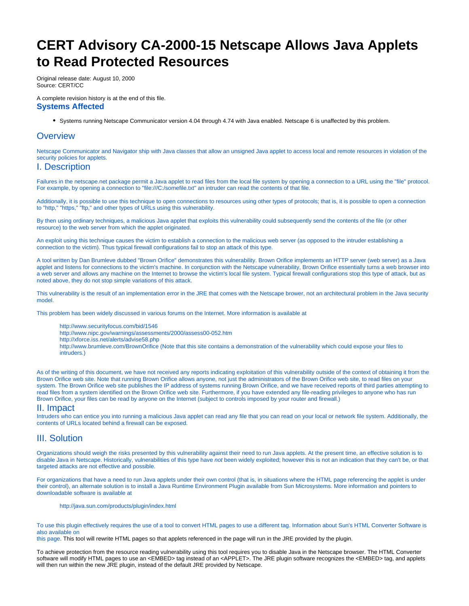# <span id="page-0-0"></span>**CERT Advisory CA-2000-15 Netscape Allows Java Applets to Read Protected Resources**

Original release date: August 10, 2000 Source: CERT/CC

A complete revision history is at the end of this file.

#### **Systems Affected**

Systems running Netscape Communicator version 4.04 through 4.74 with Java enabled. Netscape 6 is unaffected by this problem.

## **Overview**

Netscape Communicator and Navigator ship with Java classes that allow an unsigned Java applet to access local and remote resources in violation of the security policies for applets.

#### I. Description

Failures in the netscape.net package permit a Java applet to read files from the local file system by opening a connection to a URL using the "file" protocol. For example, by opening a connection to "file:///C:/somefile.txt" an intruder can read the contents of that file.

Additionally, it is possible to use this technique to open connections to resources using other types of protocols; that is, it is possible to open a connection to "http," "https," "ftp," and other types of URLs using this vulnerability.

By then using ordinary techniques, a malicious Java applet that exploits this vulnerability could subsequently send the contents of the file (or other resource) to the web server from which the applet originated.

An exploit using this technique causes the victim to establish a connection to the malicious web server (as opposed to the intruder establishing a connection to the victim). Thus typical firewall configurations fail to stop an attack of this type.

A tool written by Dan Brumleve dubbed "Brown Orifice" demonstrates this vulnerability. Brown Orifice implements an HTTP server (web server) as a Java applet and listens for connections to the victim's machine. In conjunction with the Netscape vulnerability, Brown Orifice essentially turns a web browser into a web server and allows any machine on the Internet to browse the victim's local file system. Typical firewall configurations stop this type of attack, but as noted above, they do not stop simple variations of this attack.

This vulnerability is the result of an implementation error in the JRE that comes with the Netscape brower, not an architectural problem in the Java security model.

This problem has been widely discussed in various forums on the Internet. More information is available at

- <http://www.securityfocus.com/bid/1546>
- <http://www.nipc.gov/warnings/assessments/2000/assess00-052.htm>
- <http://xforce.iss.net/alerts/advise58.php>
- <http://www.brumleve.com/BrownOrifice> (Note that this site contains a demonstration of the vulnerability which could expose your files to intruders.)

As of the writing of this document, we have not received any reports indicating exploitation of this vulnerability outside of the context of obtaining it from the Brown Orifice web site. Note that running Brown Orifice allows anyone, not just the administrators of the Brown Orifice web site, to read files on your system. The Brown Orifice web site publishes the IP address of systems running Brown Orifice, and we have received reports of third parties attempting to read files from a system identified on the Brown Orifice web site. Furthermore, if you have extended any file-reading privileges to anyone who has run Brown Orifice, your files can be read by anyone on the Internet (subject to controls imposed by your router and firewall.)

#### II. Impact

Intruders who can entice you into running a malicious Java applet can read any file that you can read on your local or network file system. Additionally, the contents of URLs located behind a firewall can be exposed.

# III. Solution

Organizations should weigh the risks presented by this vulnerability against their need to run Java applets. At the present time, an effective solution is to disable Java in Netscape. Historically, vulnerabilities of this type have not been widely exploited; however this is not an indication that they can't be, or that targeted attacks are not effective and possible.

For organizations that have a need to run Java applets under their own control (that is, in situations where the HTML page referencing the applet is under their control), an alternate solution is to install a Java Runtime Environment Plugin available from Sun Microsystems. More information and pointers to downloadable software is available at

<http://java.sun.com/products/plugin/index.html>

To use this plugin effectively requires the use of a tool to convert HTML pages to use a different tag. Information about Sun's HTML Converter Software is also available on

[this page](http://java.sun.com/products/plugin/index.html). This tool will rewrite HTML pages so that applets referenced in the page will run in the JRE provided by the plugin.

To achieve protection from the resource reading vulnerability using this tool requires you to disable Java in the Netscape browser. The HTML Converter software will modify HTML pages to use an <EMBED> tag instead of an <APPLET>. The JRE plugin software recognizes the <EMBED> tag, and applets will then run within the new JRE plugin, instead of the default JRE provided by Netscape.